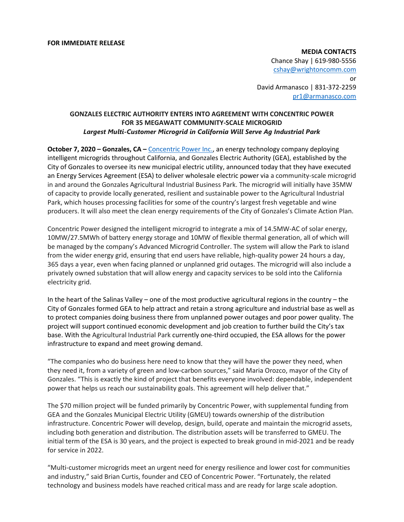**MEDIA CONTACTS** Chance Shay | 619-980-5556 [cshay@wrightoncomm.com](about:blank) or David Armanasco | 831-372-2259 [pr1@armanasco.com](about:blank)

# **GONZALES ELECTRIC AUTHORITY ENTERS INTO AGREEMENT WITH CONCENTRIC POWER FOR 35 MEGAWATT COMMUNITY-SCALE MICROGRID**  *Largest Multi-Customer Microgrid in California Will Serve Ag Industrial Park*

**October 7, 2020 – Gonzales, CA –** [Concentric Power](about:blank) Inc., an energy technology company deploying intelligent microgrids throughout California, and Gonzales Electric Authority (GEA), established by the City of Gonzales to oversee its new municipal electric utility, announced today that they have executed an Energy Services Agreement (ESA) to deliver wholesale electric power via a community-scale microgrid in and around the Gonzales Agricultural Industrial Business Park. The microgrid will initially have 35MW of capacity to provide locally generated, resilient and sustainable power to the Agricultural Industrial Park, which houses processing facilities for some of the country's largest fresh vegetable and wine producers. It will also meet the clean energy requirements of the City of Gonzales's Climate Action Plan.

Concentric Power designed the intelligent microgrid to integrate a mix of 14.5MW-AC of solar energy, 10MW/27.5MWh of battery energy storage and 10MW of flexible thermal generation, all of which will be managed by the company's Advanced Microgrid Controller. The system will allow the Park to island from the wider energy grid, ensuring that end users have reliable, high-quality power 24 hours a day, 365 days a year, even when facing planned or unplanned grid outages. The microgrid will also include a privately owned substation that will allow energy and capacity services to be sold into the California electricity grid.

In the heart of the Salinas Valley – one of the most productive agricultural regions in the country – the City of Gonzales formed GEA to help attract and retain a strong agriculture and industrial base as well as to protect companies doing business there from unplanned power outages and poor power quality. The project will support continued economic development and job creation to further build the City's tax base. With the Agricultural Industrial Park currently one-third occupied, the ESA allows for the power infrastructure to expand and meet growing demand.

"The companies who do business here need to know that they will have the power they need, when they need it, from a variety of green and low-carbon sources," said Maria Orozco, mayor of the City of Gonzales. "This is exactly the kind of project that benefits everyone involved: dependable, independent power that helps us reach our sustainability goals. This agreement will help deliver that."

The \$70 million project will be funded primarily by Concentric Power, with supplemental funding from GEA and the Gonzales Municipal Electric Utility (GMEU) towards ownership of the distribution infrastructure. Concentric Power will develop, design, build, operate and maintain the microgrid assets, including both generation and distribution. The distribution assets will be transferred to GMEU. The initial term of the ESA is 30 years, and the project is expected to break ground in mid-2021 and be ready for service in 2022.

"Multi-customer microgrids meet an urgent need for energy resilience and lower cost for communities and industry," said Brian Curtis, founder and CEO of Concentric Power. "Fortunately, the related technology and business models have reached critical mass and are ready for large scale adoption.